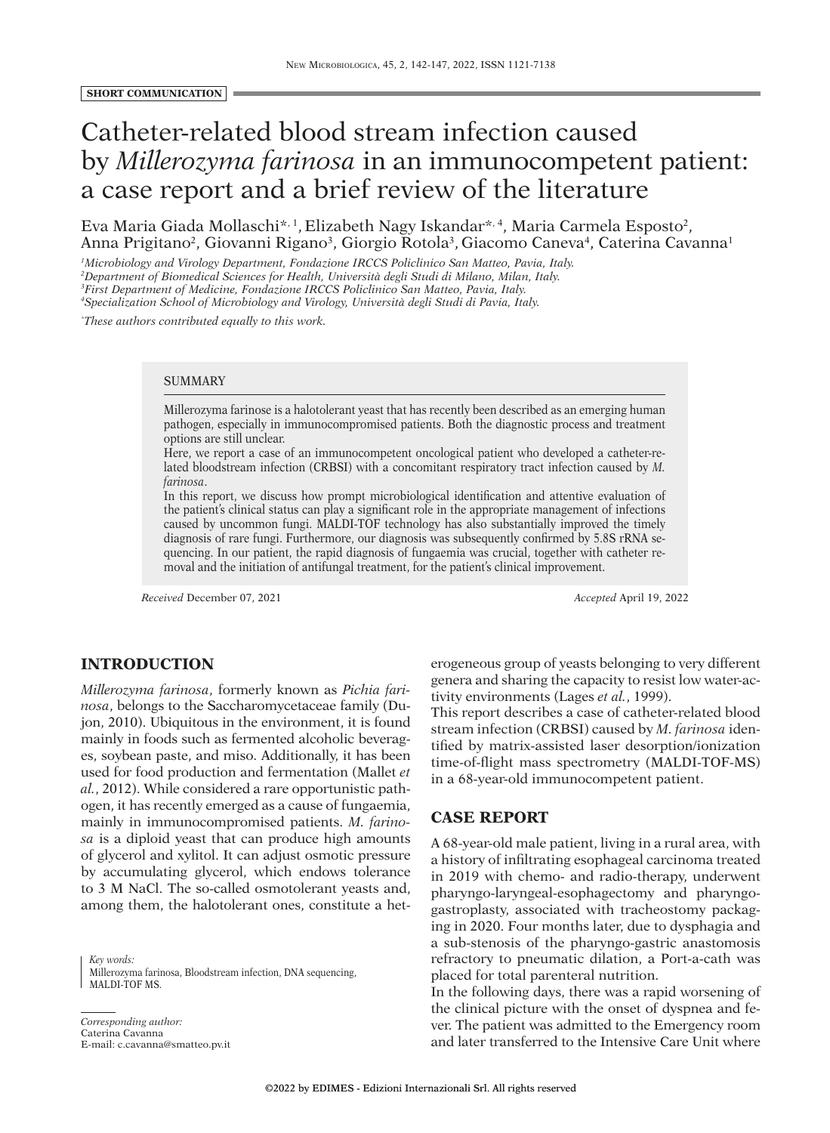#### **SHORT COMMUNICATION**

# Catheter-related blood stream infection caused by *Millerozyma farinosa* in an immunocompetent patient: a case report and a brief review of the literature

Eva Maria Giada Mollaschi<sup>\*, 1</sup>, Elizabeth Nagy Iskandar<sup>\*, 4</sup>, Maria Carmela Esposto<sup>2</sup>, Anna Prigitano<sup>2</sup>, Giovanni Rigano<sup>3</sup>, Giorgio Rotola<sup>3</sup>, Giacomo Caneva<sup>4</sup>, Caterina Cavanna<sup>1</sup>

 *Microbiology and Virology Department, Fondazione IRCCS Policlinico San Matteo, Pavia, Italy. Department of Biomedical Sciences for Health, Università degli Studi di Milano, Milan, Italy. First Department of Medicine, Fondazione IRCCS Policlinico San Matteo, Pavia, Italy. Specialization School of Microbiology and Virology, Università degli Studi di Pavia, Italy.*

*\* These authors contributed equally to this work.*

#### SUMMARY

Millerozyma farinose is a halotolerant yeast that has recently been described as an emerging human pathogen, especially in immunocompromised patients. Both the diagnostic process and treatment options are still unclear.

Here, we report a case of an immunocompetent oncological patient who developed a catheter-related bloodstream infection (CRBSI) with a concomitant respiratory tract infection caused by *M. farinosa*.

In this report, we discuss how prompt microbiological identification and attentive evaluation of the patient's clinical status can play a significant role in the appropriate management of infections caused by uncommon fungi. MALDI-TOF technology has also substantially improved the timely diagnosis of rare fungi. Furthermore, our diagnosis was subsequently confirmed by 5.8S rRNA sequencing. In our patient, the rapid diagnosis of fungaemia was crucial, together with catheter removal and the initiation of antifungal treatment, for the patient's clinical improvement.

*Received* December 07, 2021 *Accepted* April 19, 2022

## **INTRODUCTION**

*Millerozyma farinosa*, formerly known as *Pichia farinosa*, belongs to the Saccharomycetaceae family (Dujon, 2010). Ubiquitous in the environment, it is found mainly in foods such as fermented alcoholic beverages, soybean paste, and miso. Additionally, it has been used for food production and fermentation (Mallet *et al.*, 2012). While considered a rare opportunistic pathogen, it has recently emerged as a cause of fungaemia, mainly in immunocompromised patients. *M. farinosa* is a diploid yeast that can produce high amounts of glycerol and xylitol. It can adjust osmotic pressure by accumulating glycerol, which endows tolerance to 3 M NaCl. The so-called osmotolerant yeasts and, among them, the halotolerant ones, constitute a het-

*Key words:* Millerozyma farinosa, Bloodstream infection, DNA sequencing, MALDI-TOF MS.

*Corresponding author:* Caterina Cavanna E-mail: c.cavanna@smatteo.pv.it erogeneous group of yeasts belonging to very different genera and sharing the capacity to resist low water-activity environments (Lages *et al.*, 1999).

This report describes a case of catheter-related blood stream infection (CRBSI) caused by *M. farinosa* identified by matrix-assisted laser desorption/ionization time-of-flight mass spectrometry (MALDI-TOF-MS) in a 68-year-old immunocompetent patient.

# **CASE REPORT**

A 68-year-old male patient, living in a rural area, with a history of infiltrating esophageal carcinoma treated in 2019 with chemo- and radio-therapy, underwent pharyngo-laryngeal-esophagectomy and pharyngogastroplasty, associated with tracheostomy packaging in 2020. Four months later, due to dysphagia and a sub-stenosis of the pharyngo-gastric anastomosis refractory to pneumatic dilation, a Port-a-cath was placed for total parenteral nutrition.

In the following days, there was a rapid worsening of the clinical picture with the onset of dyspnea and fever. The patient was admitted to the Emergency room and later transferred to the Intensive Care Unit where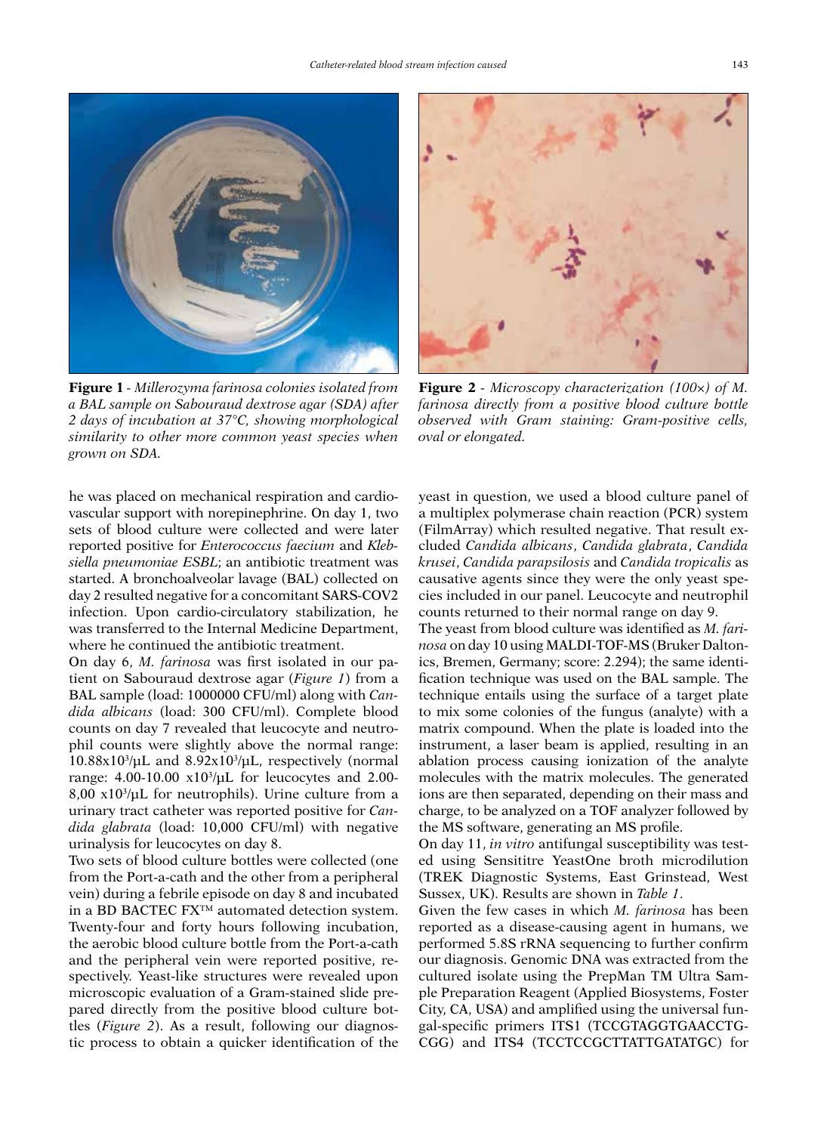

**Figure 1** *- Millerozyma farinosa colonies isolated from a BAL sample on Sabouraud dextrose agar (SDA) after 2 days of incubation at 37°C, showing morphological similarity to other more common yeast species when grown on SDA.*

he was placed on mechanical respiration and cardiovascular support with norepinephrine. On day 1, two sets of blood culture were collected and were later reported positive for *Enterococcus faecium* and *Klebsiella pneumoniae ESBL*; an antibiotic treatment was started. A bronchoalveolar lavage (BAL) collected on day 2 resulted negative for a concomitant SARS-COV2 infection. Upon cardio-circulatory stabilization, he was transferred to the Internal Medicine Department, where he continued the antibiotic treatment.

On day 6, *M. farinosa* was first isolated in our patient on Sabouraud dextrose agar (*Figure 1*) from a BAL sample (load: 1000000 CFU/ml) along with *Candida albicans* (load: 300 CFU/ml). Complete blood counts on day 7 revealed that leucocyte and neutrophil counts were slightly above the normal range:  $10.88x10^{3}/\mu L$  and  $8.92x10^{3}/\mu L$ , respectively (normal range: 4.00-10.00 x103 /μL for leucocytes and 2.00- 8,00 x103 /μL for neutrophils). Urine culture from a urinary tract catheter was reported positive for *Candida glabrata* (load: 10,000 CFU/ml) with negative urinalysis for leucocytes on day 8.

Two sets of blood culture bottles were collected (one from the Port-a-cath and the other from a peripheral vein) during a febrile episode on day 8 and incubated in a BD BACTEC FX™ automated detection system. Twenty-four and forty hours following incubation, the aerobic blood culture bottle from the Port-a-cath and the peripheral vein were reported positive, respectively. Yeast-like structures were revealed upon microscopic evaluation of a Gram-stained slide prepared directly from the positive blood culture bottles (*Figure 2*). As a result, following our diagnostic process to obtain a quicker identification of the



**Figure 2** *- Microscopy characterization (100×) of M. farinosa directly from a positive blood culture bottle observed with Gram staining: Gram-positive cells, oval or elongated.*

yeast in question, we used a blood culture panel of a multiplex polymerase chain reaction (PCR) system (FilmArray) which resulted negative. That result excluded *Candida albicans*, *Candida glabrata*, *Candida krusei*, *Candida parapsilosis* and *Candida tropicalis* as causative agents since they were the only yeast species included in our panel. Leucocyte and neutrophil counts returned to their normal range on day 9.

The yeast from blood culture was identified as *M. farinosa* on day 10 using MALDI-TOF-MS (Bruker Daltonics, Bremen, Germany; score: 2.294); the same identification technique was used on the BAL sample. The technique entails using the surface of a target plate to mix some colonies of the fungus (analyte) with a matrix compound. When the plate is loaded into the instrument, a laser beam is applied, resulting in an ablation process causing ionization of the analyte molecules with the matrix molecules. The generated ions are then separated, depending on their mass and charge, to be analyzed on a TOF analyzer followed by the MS software, generating an MS profile.

On day 11, *in vitro* antifungal susceptibility was tested using Sensititre YeastOne broth microdilution (TREK Diagnostic Systems, East Grinstead, West Sussex, UK). Results are shown in *Table 1*.

Given the few cases in which *M. farinosa* has been reported as a disease-causing agent in humans, we performed 5.8S rRNA sequencing to further confirm our diagnosis. Genomic DNA was extracted from the cultured isolate using the PrepMan TM Ultra Sample Preparation Reagent (Applied Biosystems, Foster City, CA, USA) and amplified using the universal fungal-specific primers ITS1 (TCCGTAGGTGAACCTG-CGG) and ITS4 (TCCTCCGCTTATTGATATGC) for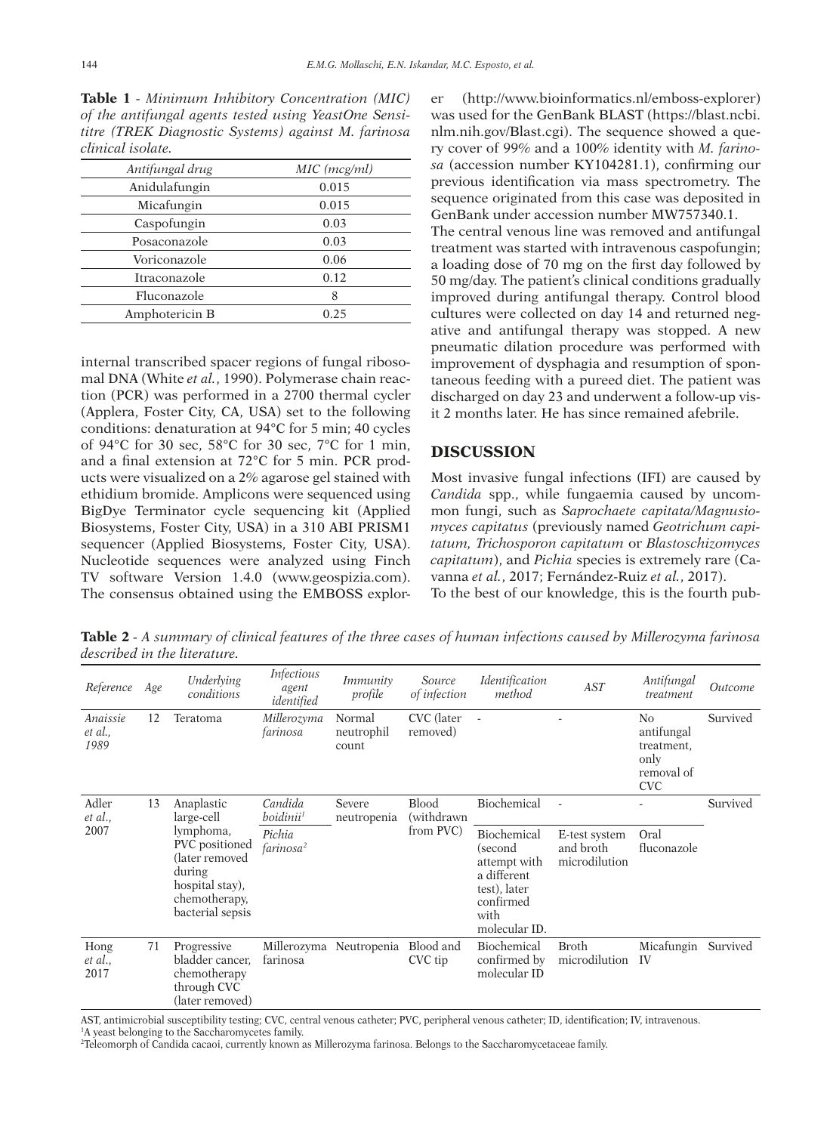**Table 1** *- Minimum Inhibitory Concentration (MIC) of the antifungal agents tested using YeastOne Sensititre (TREK Diagnostic Systems) against M. farinosa clinical isolate.*

| Antifungal drug     | MIC (mcg/ml) |
|---------------------|--------------|
| Anidulafungin       | 0.015        |
| Micafungin          | 0.015        |
| Caspofungin         | 0.03         |
| Posaconazole        | 0.03         |
| Voriconazole        | 0.06         |
| <b>Itraconazole</b> | 0.12         |
| Fluconazole         | 8            |
| Amphotericin B      | 0.25         |

internal transcribed spacer regions of fungal ribosomal DNA (White *et al.*, 1990). Polymerase chain reaction (PCR) was performed in a 2700 thermal cycler (Applera, Foster City, CA, USA) set to the following conditions: denaturation at 94°C for 5 min; 40 cycles of 94°C for 30 sec, 58°C for 30 sec, 7°C for 1 min, and a final extension at 72°C for 5 min. PCR products were visualized on a 2% agarose gel stained with ethidium bromide. Amplicons were sequenced using BigDye Terminator cycle sequencing kit (Applied Biosystems, Foster City, USA) in a 310 ABI PRISM1 sequencer (Applied Biosystems, Foster City, USA). Nucleotide sequences were analyzed using Finch TV software Version 1.4.0 (www.geospizia.com). The consensus obtained using the EMBOSS explorer (http://www.bioinformatics.nl/emboss-explorer) was used for the GenBank BLAST (https://blast.ncbi. nlm.nih.gov/Blast.cgi). The sequence showed a query cover of 99% and a 100% identity with *M. farinosa* (accession number KY104281.1), confirming our previous identification via mass spectrometry. The sequence originated from this case was deposited in GenBank under accession number MW757340.1. The central venous line was removed and antifungal treatment was started with intravenous caspofungin; a loading dose of 70 mg on the first day followed by 50 mg/day. The patient's clinical conditions gradually improved during antifungal therapy. Control blood cultures were collected on day 14 and returned negative and antifungal therapy was stopped. A new pneumatic dilation procedure was performed with improvement of dysphagia and resumption of spontaneous feeding with a pureed diet. The patient was discharged on day 23 and underwent a follow-up visit 2 months later. He has since remained afebrile.

## **DISCUSSION**

Most invasive fungal infections (IFI) are caused by *Candida* spp., while fungaemia caused by uncommon fungi, such as *Saprochaete capitata/Magnusiomyces capitatus* (previously named *Geotrichum capitatum, Trichosporon capitatum* or *Blastoschizomyces capitatum*), and *Pichia* species is extremely rare (Cavanna *et al.*, 2017; Fernández-Ruiz *et al.*, 2017).

To the best of our knowledge, this is the fourth pub-

**Table 2** *- A summary of clinical features of the three cases of human infections caused by Millerozyma farinosa described in the literature.* 

| Reference                   | Age | Underlying<br>conditions                                                                                                                    | <i>Infectious</i><br>agent<br>identified | <i>Immunity</i><br>profile    | Source<br>of infection                   | Identification<br>method                                                                                    | AST                                         | Antifungal<br>treatment                                            | <i><u><b>Outcome</b></u></i> |
|-----------------------------|-----|---------------------------------------------------------------------------------------------------------------------------------------------|------------------------------------------|-------------------------------|------------------------------------------|-------------------------------------------------------------------------------------------------------------|---------------------------------------------|--------------------------------------------------------------------|------------------------------|
| Anaissie<br>et al.,<br>1989 | 12  | Teratoma                                                                                                                                    | Millerozyma<br>farinosa                  | Normal<br>neutrophil<br>count | CVC (later<br>removed)                   |                                                                                                             |                                             | No<br>antifungal<br>treatment.<br>only<br>removal of<br><b>CVC</b> | Survived                     |
| Adler<br>et al.,            | 13  | Anaplastic<br>large-cell<br>lymphoma,<br>PVC positioned<br>(later removed<br>during<br>hospital stay),<br>chemotherapy,<br>bacterial sepsis | Candida<br>boidinii <sup>1</sup>         | Severe<br>neutropenia         | <b>Blood</b><br>(withdrawn)<br>from PVC) | Biochemical                                                                                                 |                                             |                                                                    | Survived                     |
| 2007                        |     |                                                                                                                                             | Pichia<br>farinosa <sup>2</sup>          |                               |                                          | Biochemical<br>(second<br>attempt with<br>a different<br>test), later<br>confirmed<br>with<br>molecular ID. | E-test system<br>and broth<br>microdilution | Oral<br>fluconazole                                                |                              |
| Hong<br>et al.,<br>2017     | 71  | Progressive<br>bladder cancer,<br>chemotherapy<br>through CVC<br>(later removed)                                                            | Millerozyma<br>farinosa                  | Neutropenia                   | Blood and<br>CVC tip                     | Biochemical<br>confirmed by<br>molecular ID                                                                 | <b>Broth</b><br>microdilution               | Micafungin<br>IV                                                   | Survived                     |

AST, antimicrobial susceptibility testing; CVC, central venous catheter; PVC, peripheral venous catheter; ID, identification; IV, intravenous. <sup>1</sup>A yeast belonging to the Saccharomycetes family.

2 Teleomorph of Candida cacaoi, currently known as Millerozyma farinosa. Belongs to the Saccharomycetaceae family.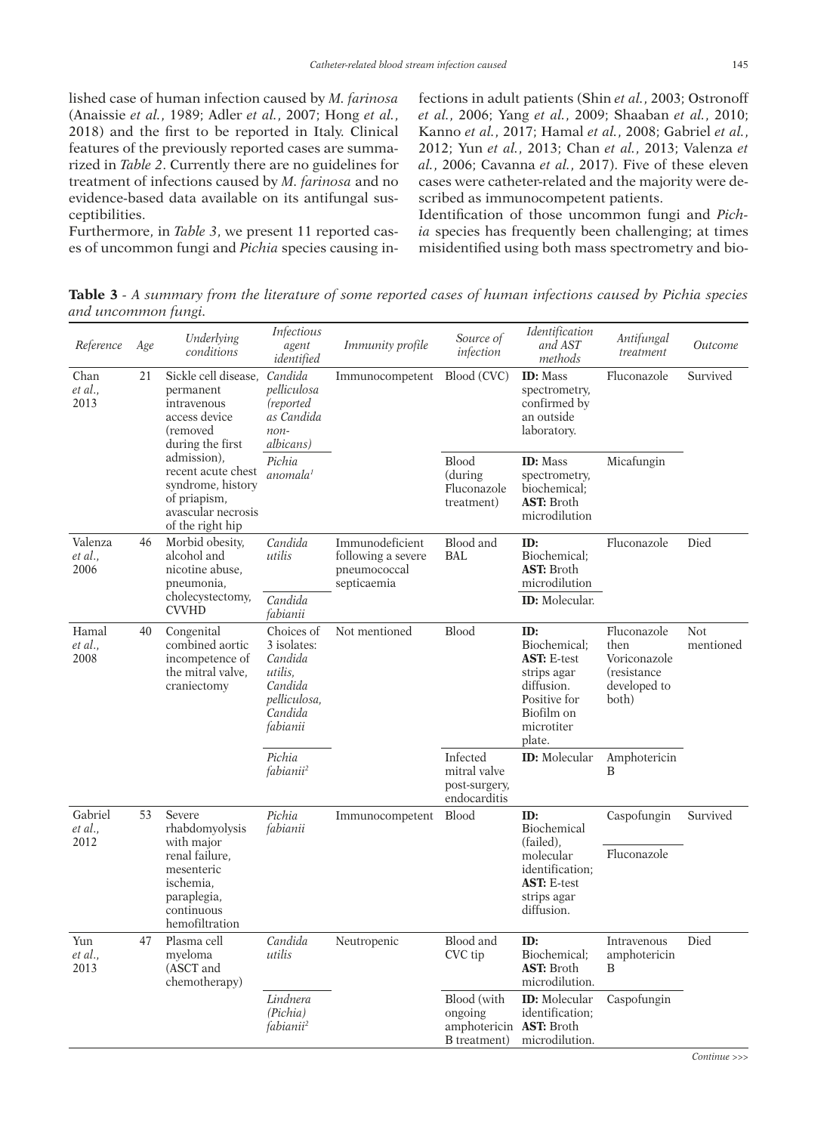lished case of human infection caused by *M. farinosa*  (Anaissie *et al.*, 1989; Adler *et al.*, 2007; Hong *et al.*, 2018) and the first to be reported in Italy. Clinical features of the previously reported cases are summarized in *Table 2*. Currently there are no guidelines for treatment of infections caused by *M. farinosa* and no evidence-based data available on its antifungal susceptibilities.

Furthermore, in *Table 3*, we present 11 reported cases of uncommon fungi and *Pichia* species causing infections in adult patients (Shin *et al.*, 2003; Ostronoff *et al.*, 2006; Yang *et al.*, 2009; Shaaban *et al.*, 2010; Kanno *et al.*, 2017; Hamal *et al.*, 2008; Gabriel *et al.*, 2012; Yun *et al.*, 2013; Chan *et al.*, 2013; Valenza *et al.*, 2006; Cavanna *et al.*, 2017). Five of these eleven cases were catheter-related and the majority were described as immunocompetent patients.

Identification of those uncommon fungi and *Pichia* species has frequently been challenging; at times misidentified using both mass spectrometry and bio-

**Table 3** *- A summary from the literature of some reported cases of human infections caused by Pichia species and uncommon fungi.*

| Reference                  | Age | Underlying<br>conditions                                                                                                                                                                                              | <b>Infectious</b><br>agent<br>identified                                                          | <i>Immunity profile</i>                                              | Source of<br>infection                                    | Identification<br>and AST<br>methods                                                                                         | Antifungal<br>treatment                                                      | <i><u><b>Outcome</b></u></i> |
|----------------------------|-----|-----------------------------------------------------------------------------------------------------------------------------------------------------------------------------------------------------------------------|---------------------------------------------------------------------------------------------------|----------------------------------------------------------------------|-----------------------------------------------------------|------------------------------------------------------------------------------------------------------------------------------|------------------------------------------------------------------------------|------------------------------|
| Chan<br>et al.,<br>2013    | 21  | Sickle cell disease,<br>permanent<br>intravenous<br>access device<br>(removed<br>during the first<br>admission),<br>recent acute chest<br>syndrome, history<br>of priapism,<br>avascular necrosis<br>of the right hip | Candida<br>pelliculosa<br>(reported)<br>as Candida<br>$non-$<br>albicans)                         | Immunocompetent                                                      | Blood (CVC)                                               | <b>ID:</b> Mass<br>spectrometry,<br>confirmed by<br>an outside<br>laboratory.                                                | Fluconazole                                                                  | Survived                     |
|                            |     |                                                                                                                                                                                                                       | Pichia<br>anomala <sup>1</sup>                                                                    |                                                                      | <b>Blood</b><br>(during<br>Fluconazole<br>treatment)      | <b>ID</b> : Mass<br>spectrometry,<br>biochemical;<br><b>AST:</b> Broth<br>microdilution                                      | Micafungin                                                                   |                              |
| Valenza<br>et al.,<br>2006 | 46  | Morbid obesity,<br>alcohol and<br>nicotine abuse,<br>pneumonia,<br>cholecystectomy,<br><b>CVVHD</b>                                                                                                                   | Candida<br>utilis                                                                                 | Immunodeficient<br>following a severe<br>pneumococcal<br>septicaemia | Blood and<br><b>BAL</b>                                   | ID:<br>Biochemical;<br><b>AST:</b> Broth<br>microdilution                                                                    | Fluconazole                                                                  | Died                         |
|                            |     |                                                                                                                                                                                                                       | Candida<br>fabianii                                                                               |                                                                      |                                                           | ID: Molecular.                                                                                                               |                                                                              |                              |
| Hamal<br>et al.,<br>2008   | 40  | Congenital<br>combined aortic<br>incompetence of<br>the mitral valve,<br>craniectomy                                                                                                                                  | Choices of<br>3 isolates:<br>Candida<br>utilis.<br>Candida<br>pelliculosa,<br>Candida<br>fabianii | Not mentioned                                                        | <b>Blood</b>                                              | ID:<br>Biochemical:<br><b>AST: E-test</b><br>strips agar<br>diffusion.<br>Positive for<br>Biofilm on<br>microtiter<br>plate. | Fluconazole<br>then<br>Voriconazole<br>(resistance)<br>developed to<br>both) | Not.<br>mentioned            |
|                            |     |                                                                                                                                                                                                                       | Pichia<br>fabianii <sup>2</sup>                                                                   |                                                                      | Infected<br>mitral valve<br>post-surgery,<br>endocarditis | <b>ID:</b> Molecular                                                                                                         | Amphotericin<br>B                                                            |                              |
| Gabriel<br>et al.,<br>2012 | 53  | Severe<br>rhabdomyolysis<br>with major<br>renal failure,<br>mesenteric<br>ischemia,<br>paraplegia,<br>continuous<br>hemofiltration                                                                                    | Pichia<br>fabianii                                                                                | Immunocompetent                                                      | <b>Blood</b>                                              | ID:<br>Biochemical<br>(failed).<br>molecular<br>identification;<br><b>AST: E-test</b><br>strips agar<br>diffusion.           | Caspofungin                                                                  | Survived                     |
|                            |     |                                                                                                                                                                                                                       |                                                                                                   |                                                                      |                                                           |                                                                                                                              | Fluconazole                                                                  |                              |
| Yun<br>et al.,<br>2013     | 47  | Plasma cell<br>myeloma<br>(ASCT and<br>chemotherapy)                                                                                                                                                                  | Candida<br>utilis                                                                                 | Neutropenic                                                          | Blood and<br>CVC tip                                      | ID:<br>Biochemical:<br><b>AST:</b> Broth<br>microdilution.                                                                   | Intravenous<br>amphotericin<br>B                                             | Died                         |
|                            |     |                                                                                                                                                                                                                       | Lindnera<br>(Pichia)<br>fabianii <sup>2</sup>                                                     |                                                                      | Blood (with<br>ongoing<br>amphotericin<br>B treatment)    | <b>ID:</b> Molecular<br>identification:<br><b>AST:</b> Broth<br>microdilution.                                               | Caspofungin                                                                  |                              |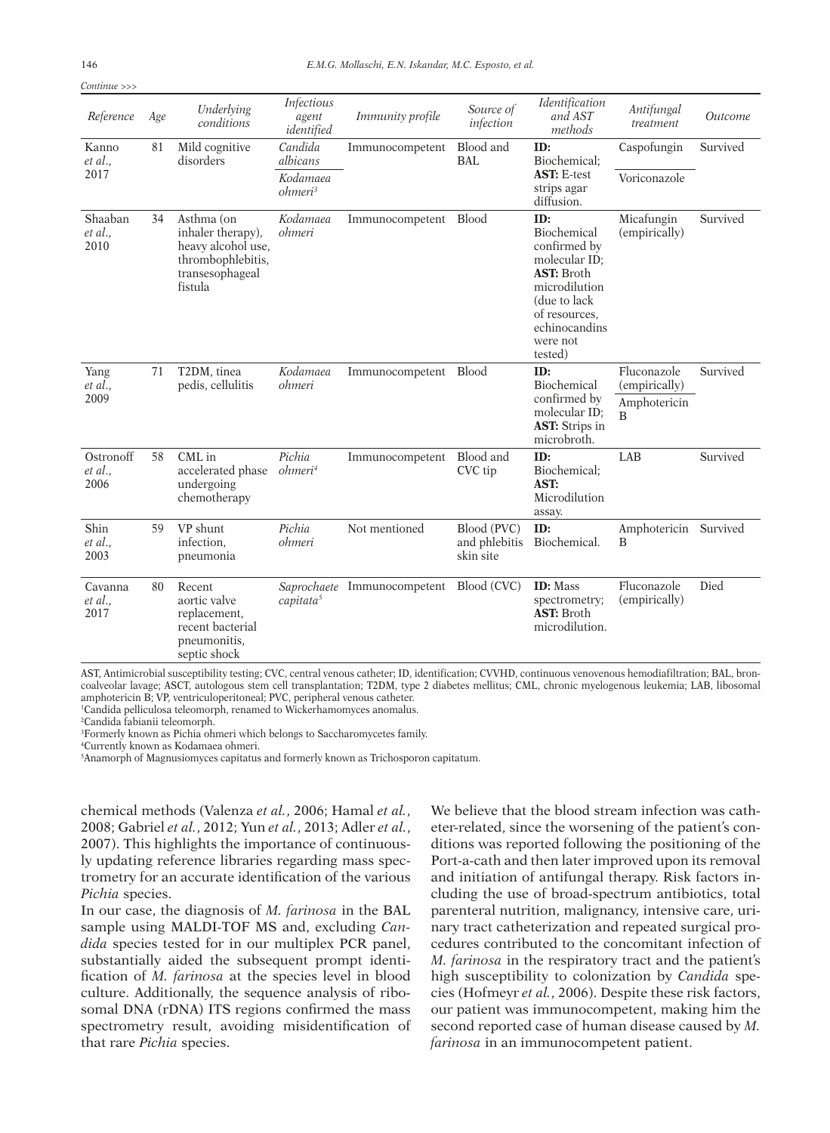*Continue >>>*

| Reference                    | Age | Underlying<br>conditions                                                                                 | Infectious<br>agent<br>identified | <i>Immunity profile</i>                 | Source of<br>infection                    | <i>Identification</i><br>and AST<br>methods                                                                                                                         | Antifungal<br>treatment                                        | <i><u>Outcome</u></i> |
|------------------------------|-----|----------------------------------------------------------------------------------------------------------|-----------------------------------|-----------------------------------------|-------------------------------------------|---------------------------------------------------------------------------------------------------------------------------------------------------------------------|----------------------------------------------------------------|-----------------------|
| Kanno<br>et al.,<br>2017     | 81  | Mild cognitive<br>disorders                                                                              | Candida<br>albicans               | Immunocompetent                         | Blood and<br><b>BAL</b>                   | ID:<br>Biochemical:<br><b>AST: E-test</b><br>strips agar<br>diffusion.                                                                                              | Caspofungin                                                    | Survived              |
|                              |     |                                                                                                          | Kodamaea<br>ohmeri <sup>3</sup>   |                                         |                                           |                                                                                                                                                                     | Voriconazole                                                   |                       |
| Shaaban<br>et al.,<br>2010   | 34  | Asthma (on<br>inhaler therapy),<br>heavy alcohol use,<br>thrombophlebitis,<br>transesophageal<br>fistula | Kodamaea<br>ohmeri                | Immunocompetent Blood                   |                                           | ID:<br>Biochemical<br>confirmed by<br>molecular ID;<br><b>AST:</b> Broth<br>microdilution<br>(due to lack)<br>of resources.<br>echinocandins<br>were not<br>tested) | Micafungin<br>(empirically)                                    | Survived              |
| Yang<br>et al.,<br>2009      | 71  | T2DM, tinea<br>pedis, cellulitis                                                                         | Kodamaea<br>ohmeri                | Immunocompetent Blood                   |                                           | ID:<br>Biochemical<br>confirmed by<br>molecular ID;<br><b>AST:</b> Strips in<br>microbroth.                                                                         | Fluconazole<br>(empirically)<br>Amphotericin<br>$\overline{B}$ | Survived              |
| Ostronoff<br>et al.,<br>2006 | 58  | CML in<br>accelerated phase<br>undergoing<br>chemotherapy                                                | Pichia<br>ohmeri <sup>4</sup>     | Immunocompetent                         | Blood and<br>CVC tip                      | ID:<br>Biochemical:<br>AST:<br>Microdilution<br>assay.                                                                                                              | LAB                                                            | Survived              |
| Shin<br>et al.,<br>2003      | 59  | VP shunt<br>infection.<br>pneumonia                                                                      | Pichia<br>ohmeri                  | Not mentioned                           | Blood (PVC)<br>and phlebitis<br>skin site | ID:<br>Biochemical.                                                                                                                                                 | Amphotericin Survived<br>B                                     |                       |
| Cavanna<br>et al.,<br>2017   | 80  | Recent<br>aortic valve<br>replacement.<br>recent bacterial<br>pneumonitis,<br>septic shock               | capitata <sup>5</sup>             | Saprochaete Immunocompetent Blood (CVC) |                                           | <b>ID:</b> Mass<br>spectrometry;<br><b>AST: Broth</b><br>microdilution.                                                                                             | Fluconazole<br>(empirically)                                   | Died                  |

AST, Antimicrobial susceptibility testing; CVC, central venous catheter; ID, identification; CVVHD, continuous venovenous hemodiafiltration; BAL, broncoalveolar lavage; ASCT, autologous stem cell transplantation; T2DM, type 2 diabetes mellitus; CML, chronic myelogenous leukemia; LAB, libosomal amphotericin B; VP, ventriculoperitoneal; PVC, peripheral venous catheter.

1 Candida pelliculosa teleomorph, renamed to Wickerhamomyces anomalus.

2 Candida fabianii teleomorph.

3 Formerly known as Pichia ohmeri which belongs to Saccharomycetes family.

4 Currently known as Kodamaea ohmeri.

5 Anamorph of Magnusiomyces capitatus and formerly known as Trichosporon capitatum.

chemical methods (Valenza *et al.*, 2006; Hamal *et al.*, 2008; Gabriel *et al.*, 2012; Yun *et al.*, 2013; Adler *et al.*, 2007). This highlights the importance of continuously updating reference libraries regarding mass spectrometry for an accurate identification of the various *Pichia* species.

In our case, the diagnosis of *M. farinosa* in the BAL sample using MALDI-TOF MS and, excluding *Candida* species tested for in our multiplex PCR panel, substantially aided the subsequent prompt identification of *M. farinosa* at the species level in blood culture. Additionally, the sequence analysis of ribosomal DNA (rDNA) ITS regions confirmed the mass spectrometry result, avoiding misidentification of that rare *Pichia* species.

We believe that the blood stream infection was catheter-related, since the worsening of the patient's conditions was reported following the positioning of the Port-a-cath and then later improved upon its removal and initiation of antifungal therapy. Risk factors including the use of broad-spectrum antibiotics, total parenteral nutrition, malignancy, intensive care, urinary tract catheterization and repeated surgical procedures contributed to the concomitant infection of *M. farinosa* in the respiratory tract and the patient's high susceptibility to colonization by *Candida* species (Hofmeyr *et al.*, 2006). Despite these risk factors, our patient was immunocompetent, making him the second reported case of human disease caused by *M. farinosa* in an immunocompetent patient.